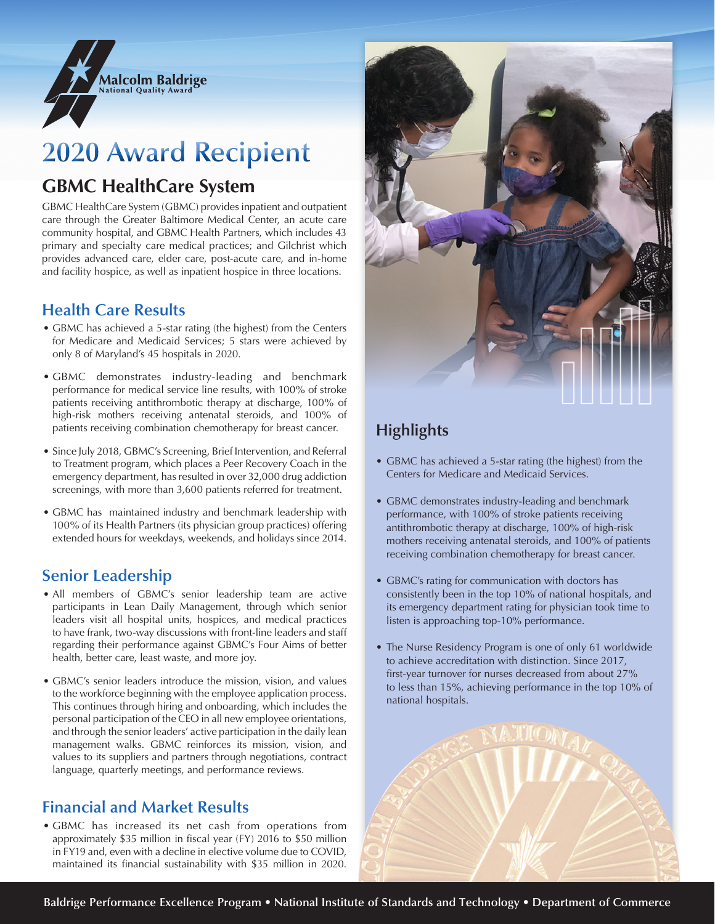

# **2020 Award Recipient**

## **GBMC HealthCare System**

GBMC HealthCare System (GBMC) provides inpatient and outpatient care through the Greater Baltimore Medical Center, an acute care community hospital, and GBMC Health Partners, which includes 43 primary and specialty care medical practices; and Gilchrist which provides advanced care, elder care, post-acute care, and in-home and facility hospice, as well as inpatient hospice in three locations.

#### **Health Care Results**

- GBMC has achieved a 5-star rating (the highest) from the Centers for Medicare and Medicaid Services; 5 stars were achieved by only 8 of Maryland's 45 hospitals in 2020.
- GBMC demonstrates industry-leading and benchmark performance for medical service line results, with 100% of stroke patients receiving antithrombotic therapy at discharge, 100% of high-risk mothers receiving antenatal steroids, and 100% of patients receiving combination chemotherapy for breast cancer.
- Since July 2018, GBMC's Screening, Brief Intervention, and Referral to Treatment program, which places a Peer Recovery Coach in the emergency department, has resulted in over 32,000 drug addiction screenings, with more than 3,600 patients referred for treatment.
- GBMC has maintained industry and benchmark leadership with 100% of its Health Partners (its physician group practices) offering extended hours for weekdays, weekends, and holidays since 2014.

### **Senior Leadership**

- All members of GBMC's senior leadership team are active participants in Lean Daily Management, through which senior leaders visit all hospital units, hospices, and medical practices to have frank, two-way discussions with front-line leaders and staff regarding their performance against GBMC's Four Aims of better health, better care, least waste, and more joy.
- GBMC's senior leaders introduce the mission, vision, and values to the workforce beginning with the employee application process. This continues through hiring and onboarding, which includes the personal participation of the CEO in all new employee orientations, and through the senior leaders' active participation in the daily lean management walks. GBMC reinforces its mission, vision, and values to its suppliers and partners through negotiations, contract language, quarterly meetings, and performance reviews.

## **Financial and Market Results**

• GBMC has increased its net cash from operations from approximately \$35 million in fiscal year (FY) 2016 to \$50 million in FY19 and, even with a decline in elective volume due to COVID, maintained its financial sustainability with \$35 million in 2020.



## **Highlights**

- GBMC has achieved a 5-star rating (the highest) from the Centers for Medicare and Medicaid Services.
- GBMC demonstrates industry-leading and benchmark performance, with 100% of stroke patients receiving antithrombotic therapy at discharge, 100% of high-risk mothers receiving antenatal steroids, and 100% of patients receiving combination chemotherapy for breast cancer.
- GBMC's rating for communication with doctors has consistently been in the top 10% of national hospitals, and its emergency department rating for physician took time to listen is approaching top-10% performance.
- The Nurse Residency Program is one of only 61 worldwide to achieve accreditation with distinction. Since 2017, first-year turnover for nurses decreased from about 27% to less than 15%, achieving performance in the top 10% of national hospitals.